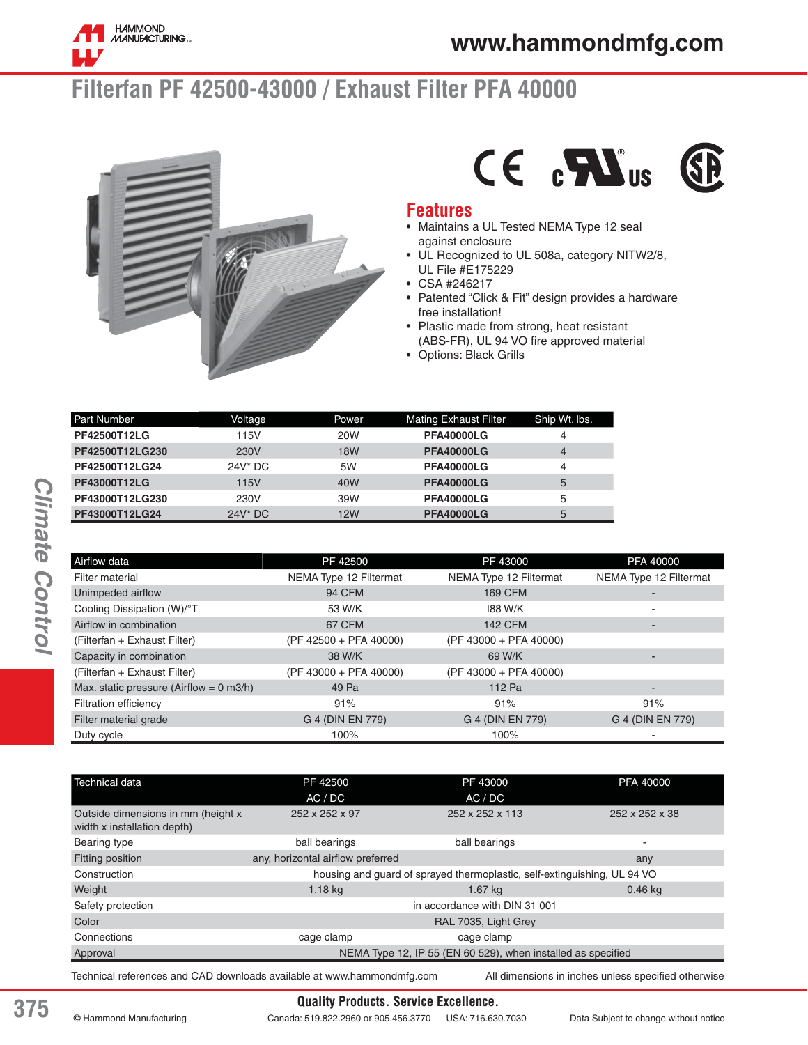

# **Filterfan PF 42500-43000 / Exhaust Filter PFA 40000**





#### **Features**

- Maintains a UL Tested NEMA Type 12 seal against enclosure
- UL Recognized to UL 508a, category NITW2/8, UL File #E175229
- CSA #246217
- Patented "Click & Fit" design provides a hardware free installation!
- Plastic made from strong, heat resistant (ABS-FR), UL 94 VO fire approved material
- Options: Black Grills

| <b>Part Number</b> | Voltage    | Power           | <b>Mating Exhaust Filter</b> | Ship Wt. Ibs. |
|--------------------|------------|-----------------|------------------------------|---------------|
| PF42500T12LG       | 115V       | <b>20W</b>      | <b>PFA40000LG</b>            | 4             |
| PF42500T12LG230    | 230V       | <b>18W</b>      | <b>PFA40000LG</b>            | 4             |
| PF42500T12LG24     | $24V^*$ DC | 5W              | <b>PFA40000LG</b>            | 4             |
| PF43000T12LG       | 115V       | 40 <sub>W</sub> | <b>PFA40000LG</b>            | 5             |
| PF43000T12LG230    | 230V       | 39W             | <b>PFA40000LG</b>            | 5             |
| PF43000T12LG24     | $24V^*$ DC | <b>12W</b>      | <b>PFA40000LG</b>            | 5             |

| Airflow data                                       | PF 42500               | PF 43000               | PFA 40000                |
|----------------------------------------------------|------------------------|------------------------|--------------------------|
| Filter material                                    | NEMA Type 12 Filtermat | NEMA Type 12 Filtermat | NEMA Type 12 Filtermat   |
| Unimpeded airflow                                  | <b>94 CFM</b>          | <b>169 CFM</b>         |                          |
| Cooling Dissipation (W)/°T                         | 53 W/K                 | 188 W/K                | $\overline{\phantom{a}}$ |
| Airflow in combination                             | 67 CFM                 | <b>142 CFM</b>         |                          |
| (Filterfan + Exhaust Filter)                       | (PF 42500 + PFA 40000) | (PF 43000 + PFA 40000) |                          |
| Capacity in combination                            | 38 W/K                 | 69 W/K                 |                          |
| (Filterfan + Exhaust Filter)                       | (PF 43000 + PFA 40000) | (PF 43000 + PFA 40000) |                          |
| Max. static pressure (Airflow = $0 \text{ m3/h}$ ) | 49 Pa                  | 112 Pa                 | $\overline{\phantom{a}}$ |
| <b>Filtration efficiency</b>                       | 91%                    | 91%                    | 91%                      |
| Filter material grade                              | G 4 (DIN EN 779)       | G 4 (DIN EN 779)       | G 4 (DIN EN 779)         |
| Duty cycle                                         | 100%                   | 100%                   | $\overline{\phantom{a}}$ |

| AC / DC                                                                  |                |  |  |
|--------------------------------------------------------------------------|----------------|--|--|
|                                                                          |                |  |  |
| 252 x 252 x 113<br>252 x 252 x 97                                        | 252 x 252 x 38 |  |  |
| ball bearings                                                            | ۰              |  |  |
| any, horizontal airflow preferred                                        | any            |  |  |
| housing and guard of sprayed thermoplastic, self-extinguishing, UL 94 VO |                |  |  |
| $1.67$ kg                                                                | $0.46$ kg      |  |  |
| in accordance with DIN 31 001                                            |                |  |  |
| RAL 7035, Light Grey                                                     |                |  |  |
| cage clamp                                                               |                |  |  |
| NEMA Type 12, IP 55 (EN 60 529), when installed as specified             |                |  |  |
|                                                                          |                |  |  |

Technical references and CAD downloads available at www.hammondmfg.com All dimensions in inches unless specified otherwise